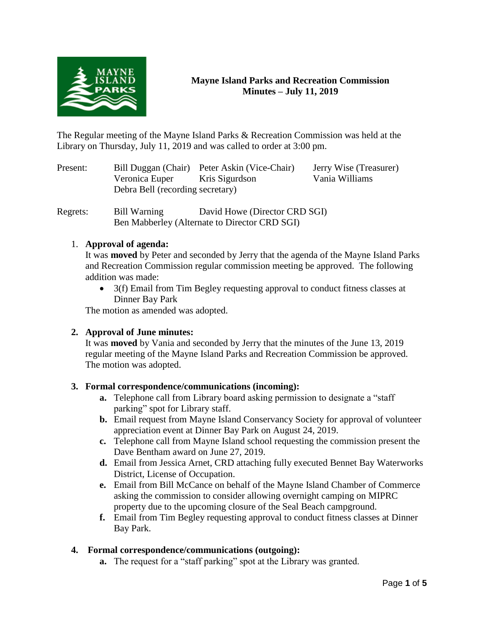

# **Mayne Island Parks and Recreation Commission Minutes – July 11, 2019**

The Regular meeting of the Mayne Island Parks & Recreation Commission was held at the Library on Thursday, July 11, 2019 and was called to order at 3:00 pm.

Present: Bill Duggan (Chair) Peter Askin (Vice-Chair) Jerry Wise (Treasurer) Veronica Euper Kris Sigurdson Vania Williams Debra Bell (recording secretary)

Regrets: Bill Warning David Howe (Director CRD SGI) Ben Mabberley (Alternate to Director CRD SGI)

## 1. **Approval of agenda:**

It was **moved** by Peter and seconded by Jerry that the agenda of the Mayne Island Parks and Recreation Commission regular commission meeting be approved. The following addition was made:

• 3(f) Email from Tim Begley requesting approval to conduct fitness classes at Dinner Bay Park

The motion as amended was adopted.

## **2. Approval of June minutes:**

It was **moved** by Vania and seconded by Jerry that the minutes of the June 13, 2019 regular meeting of the Mayne Island Parks and Recreation Commission be approved. The motion was adopted.

## **3. Formal correspondence/communications (incoming):**

- **a.** Telephone call from Library board asking permission to designate a "staff parking" spot for Library staff.
- **b.** Email request from Mayne Island Conservancy Society for approval of volunteer appreciation event at Dinner Bay Park on August 24, 2019.
- **c.** Telephone call from Mayne Island school requesting the commission present the Dave Bentham award on June 27, 2019.
- **d.** Email from Jessica Arnet, CRD attaching fully executed Bennet Bay Waterworks District, License of Occupation.
- **e.** Email from Bill McCance on behalf of the Mayne Island Chamber of Commerce asking the commission to consider allowing overnight camping on MIPRC property due to the upcoming closure of the Seal Beach campground.
- **f.** Email from Tim Begley requesting approval to conduct fitness classes at Dinner Bay Park.

## **4. Formal correspondence/communications (outgoing):**

**a.** The request for a "staff parking" spot at the Library was granted.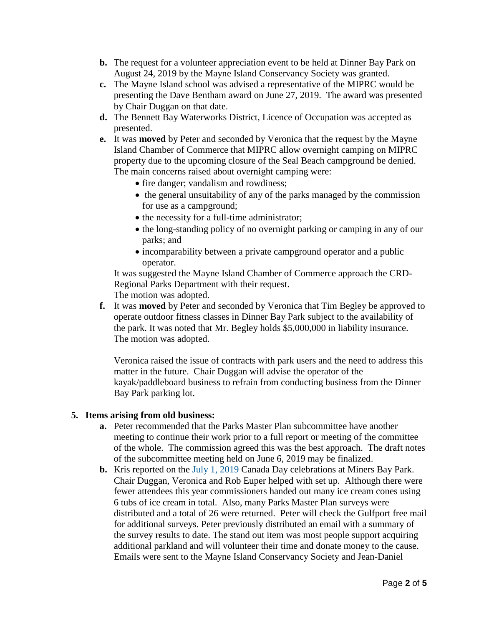- **b.** The request for a volunteer appreciation event to be held at Dinner Bay Park on August 24, 2019 by the Mayne Island Conservancy Society was granted.
- **c.** The Mayne Island school was advised a representative of the MIPRC would be presenting the Dave Bentham award on June 27, 2019. The award was presented by Chair Duggan on that date.
- **d.** The Bennett Bay Waterworks District, Licence of Occupation was accepted as presented.
- **e.** It was **moved** by Peter and seconded by Veronica that the request by the Mayne Island Chamber of Commerce that MIPRC allow overnight camping on MIPRC property due to the upcoming closure of the Seal Beach campground be denied. The main concerns raised about overnight camping were:
	- fire danger; vandalism and rowdiness;
	- the general unsuitability of any of the parks managed by the commission for use as a campground;
	- the necessity for a full-time administrator;
	- the long-standing policy of no overnight parking or camping in any of our parks; and
	- incomparability between a private campground operator and a public operator.

It was suggested the Mayne Island Chamber of Commerce approach the CRD-Regional Parks Department with their request. The motion was adopted.

**f.** It was **moved** by Peter and seconded by Veronica that Tim Begley be approved to operate outdoor fitness classes in Dinner Bay Park subject to the availability of the park. It was noted that Mr. Begley holds \$5,000,000 in liability insurance. The motion was adopted.

Veronica raised the issue of contracts with park users and the need to address this matter in the future. Chair Duggan will advise the operator of the kayak/paddleboard business to refrain from conducting business from the Dinner Bay Park parking lot.

#### **5. Items arising from old business:**

- **a.** Peter recommended that the Parks Master Plan subcommittee have another meeting to continue their work prior to a full report or meeting of the committee of the whole. The commission agreed this was the best approach. The draft notes of the subcommittee meeting held on June 6, 2019 may be finalized.
- **b.** Kris reported on the July 1, 2019 Canada Day celebrations at Miners Bay Park. Chair Duggan, Veronica and Rob Euper helped with set up. Although there were fewer attendees this year commissioners handed out many ice cream cones using 6 tubs of ice cream in total. Also, many Parks Master Plan surveys were distributed and a total of 26 were returned. Peter will check the Gulfport free mail for additional surveys. Peter previously distributed an email with a summary of the survey results to date. The stand out item was most people support acquiring additional parkland and will volunteer their time and donate money to the cause. Emails were sent to the Mayne Island Conservancy Society and Jean-Daniel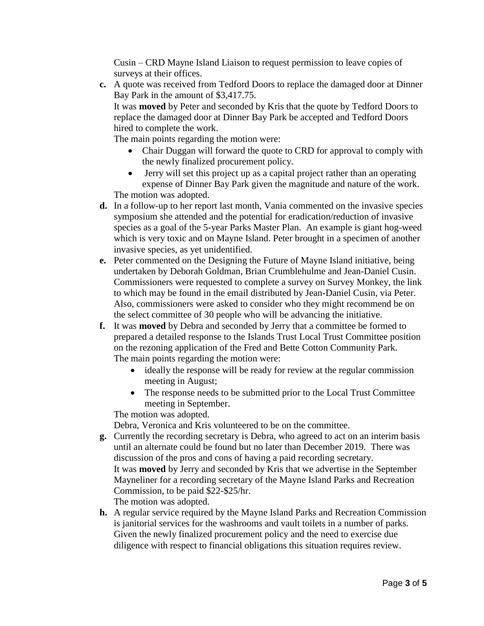Cusin – CRD Mayne Island Liaison to request permission to leave copies of surveys at their offices.

**c.** A quote was received from Tedford Doors to replace the damaged door at Dinner Bay Park in the amount of \$3,417.75.

It was **moved** by Peter and seconded by Kris that the quote by Tedford Doors to replace the damaged door at Dinner Bay Park be accepted and Tedford Doors hired to complete the work.

The main points regarding the motion were:

- Chair Duggan will forward the quote to CRD for approval to comply with the newly finalized procurement policy.
- Jerry will set this project up as a capital project rather than an operating expense of Dinner Bay Park given the magnitude and nature of the work. The motion was adopted.
- **d.** In a follow-up to her report last month, Vania commented on the invasive species symposium she attended and the potential for eradication/reduction of invasive species as a goal of the 5-year Parks Master Plan. An example is giant hog-weed which is very toxic and on Mayne Island. Peter brought in a specimen of another invasive species, as yet unidentified.
- **e.** Peter commented on the Designing the Future of Mayne Island initiative, being undertaken by Deborah Goldman, Brian Crumblehulme and Jean-Daniel Cusin. Commissioners were requested to complete a survey on Survey Monkey, the link to which may be found in the email distributed by Jean-Daniel Cusin, via Peter. Also, commissioners were asked to consider who they might recommend be on the select committee of 30 people who will be advancing the initiative.
- **f.** It was **moved** by Debra and seconded by Jerry that a committee be formed to prepared a detailed response to the Islands Trust Local Trust Committee position on the rezoning application of the Fred and Bette Cotton Community Park. The main points regarding the motion were:
	- ideally the response will be ready for review at the regular commission meeting in August;
	- The response needs to be submitted prior to the Local Trust Committee meeting in September.

The motion was adopted.

Debra, Veronica and Kris volunteered to be on the committee.

- **g.** Currently the recording secretary is Debra, who agreed to act on an interim basis until an alternate could be found but no later than December 2019. There was discussion of the pros and cons of having a paid recording secretary. It was **moved** by Jerry and seconded by Kris that we advertise in the September Mayneliner for a recording secretary of the Mayne Island Parks and Recreation Commission, to be paid \$22-\$25/hr. The motion was adopted.
- **h.** A regular service required by the Mayne Island Parks and Recreation Commission is janitorial services for the washrooms and vault toilets in a number of parks. Given the newly finalized procurement policy and the need to exercise due diligence with respect to financial obligations this situation requires review.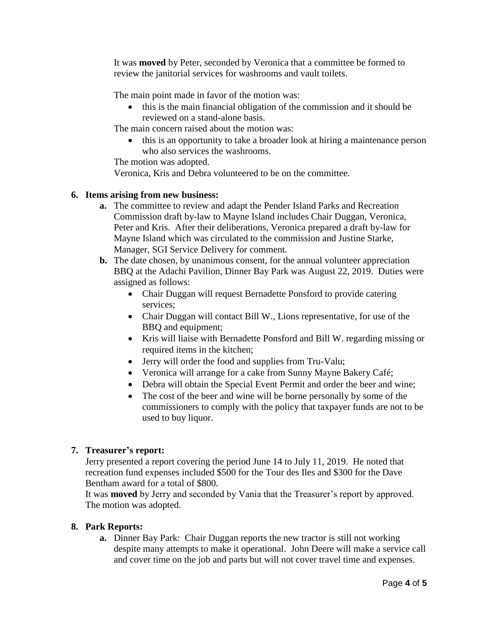It was **moved** by Peter, seconded by Veronica that a committee be formed to review the janitorial services for washrooms and vault toilets.

The main point made in favor of the motion was:

• this is the main financial obligation of the commission and it should be reviewed on a stand-alone basis.

The main concern raised about the motion was:

• this is an opportunity to take a broader look at hiring a maintenance person who also services the washrooms.

The motion was adopted.

Veronica, Kris and Debra volunteered to be on the committee.

### **6. Items arising from new business:**

- **a.** The committee to review and adapt the Pender Island Parks and Recreation Commission draft by-law to Mayne Island includes Chair Duggan, Veronica, Peter and Kris. After their deliberations, Veronica prepared a draft by-law for Mayne Island which was circulated to the commission and Justine Starke, Manager, SGI Service Delivery for comment.
- **b.** The date chosen, by unanimous consent, for the annual volunteer appreciation BBQ at the Adachi Pavilion, Dinner Bay Park was August 22, 2019. Duties were assigned as follows:
	- Chair Duggan will request Bernadette Ponsford to provide catering services;
	- Chair Duggan will contact Bill W., Lions representative, for use of the BBQ and equipment;
	- Kris will liaise with Bernadette Ponsford and Bill W. regarding missing or required items in the kitchen;
	- Jerry will order the food and supplies from Tru-Valu;
	- Veronica will arrange for a cake from Sunny Mayne Bakery Café;
	- Debra will obtain the Special Event Permit and order the beer and wine;
	- The cost of the beer and wine will be borne personally by some of the commissioners to comply with the policy that taxpayer funds are not to be used to buy liquor.

## **7. Treasurer's report:**

Jerry presented a report covering the period June 14 to July 11, 2019. He noted that recreation fund expenses included \$500 for the Tour des Iles and \$300 for the Dave Bentham award for a total of \$800.

It was **moved** by Jerry and seconded by Vania that the Treasurer's report by approved. The motion was adopted.

## **8. Park Reports:**

**a.** Dinner Bay Park: Chair Duggan reports the new tractor is still not working despite many attempts to make it operational. John Deere will make a service call and cover time on the job and parts but will not cover travel time and expenses.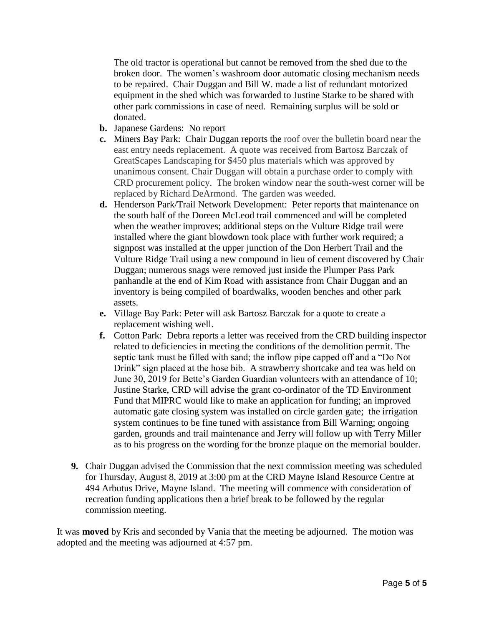The old tractor is operational but cannot be removed from the shed due to the broken door. The women's washroom door automatic closing mechanism needs to be repaired. Chair Duggan and Bill W. made a list of redundant motorized equipment in the shed which was forwarded to Justine Starke to be shared with other park commissions in case of need. Remaining surplus will be sold or donated.

- **b.** Japanese Gardens: No report
- **c.** Miners Bay Park: Chair Duggan reports the roof over the bulletin board near the east entry needs replacement. A quote was received from Bartosz Barczak of GreatScapes Landscaping for \$450 plus materials which was approved by unanimous consent. Chair Duggan will obtain a purchase order to comply with CRD procurement policy. The broken window near the south-west corner will be replaced by Richard DeArmond. The garden was weeded.
- **d.** Henderson Park/Trail Network Development: Peter reports that maintenance on the south half of the Doreen McLeod trail commenced and will be completed when the weather improves; additional steps on the Vulture Ridge trail were installed where the giant blowdown took place with further work required; a signpost was installed at the upper junction of the Don Herbert Trail and the Vulture Ridge Trail using a new compound in lieu of cement discovered by Chair Duggan; numerous snags were removed just inside the Plumper Pass Park panhandle at the end of Kim Road with assistance from Chair Duggan and an inventory is being compiled of boardwalks, wooden benches and other park assets.
- **e.** Village Bay Park: Peter will ask Bartosz Barczak for a quote to create a replacement wishing well.
- **f.** Cotton Park: Debra reports a letter was received from the CRD building inspector related to deficiencies in meeting the conditions of the demolition permit. The septic tank must be filled with sand; the inflow pipe capped off and a "Do Not Drink" sign placed at the hose bib. A strawberry shortcake and tea was held on June 30, 2019 for Bette's Garden Guardian volunteers with an attendance of 10; Justine Starke, CRD will advise the grant co-ordinator of the TD Environment Fund that MIPRC would like to make an application for funding; an improved automatic gate closing system was installed on circle garden gate; the irrigation system continues to be fine tuned with assistance from Bill Warning; ongoing garden, grounds and trail maintenance and Jerry will follow up with Terry Miller as to his progress on the wording for the bronze plaque on the memorial boulder.
- **9.** Chair Duggan advised the Commission that the next commission meeting was scheduled for Thursday, August 8, 2019 at 3:00 pm at the CRD Mayne Island Resource Centre at 494 Arbutus Drive, Mayne Island. The meeting will commence with consideration of recreation funding applications then a brief break to be followed by the regular commission meeting.

It was **moved** by Kris and seconded by Vania that the meeting be adjourned. The motion was adopted and the meeting was adjourned at 4:57 pm.